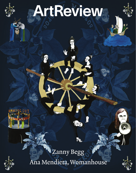

## ArtReview

 $\overline{d}$ 



## Ana Mendieta, Womanhouse Zanny Begg

 $(e, b)$